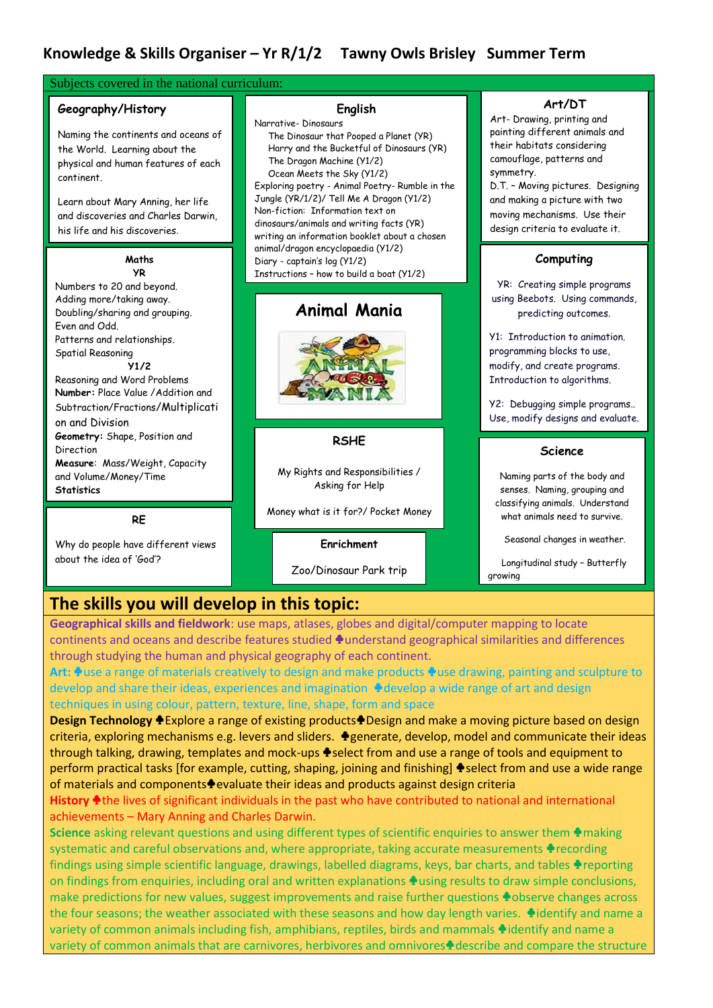| Subjects covered in the national curriculum:                                                                                                                                                                                                                                                                           |                                                                                                                                                                                                                                                                                                                                                                                                                  |                                                                                                                                                                                                                                                                                             |
|------------------------------------------------------------------------------------------------------------------------------------------------------------------------------------------------------------------------------------------------------------------------------------------------------------------------|------------------------------------------------------------------------------------------------------------------------------------------------------------------------------------------------------------------------------------------------------------------------------------------------------------------------------------------------------------------------------------------------------------------|---------------------------------------------------------------------------------------------------------------------------------------------------------------------------------------------------------------------------------------------------------------------------------------------|
| Geography/History<br>Naming the continents and oceans of<br>the World. Learning about the<br>physical and human features of each<br>continent.<br>Learn about Mary Anning, her life<br>and discoveries and Charles Darwin,<br>his life and his discoveries.                                                            | English<br>Narrative-Dinosaurs<br>The Dinosaur that Pooped a Planet (YR)<br>Harry and the Bucketful of Dinosaurs (YR)<br>The Dragon Machine (Y1/2)<br>Ocean Meets the Sky (Y1/2)<br>Exploring poetry - Animal Poetry- Rumble in the<br>Jungle (YR/1/2)/ Tell Me A Dragon (Y1/2)<br>Non-fiction: Information text on<br>dinosaurs/animals and writing facts (YR)<br>writing an information booklet about a chosen | Art/DT<br>Art- Drawing, printing and<br>painting different animals and<br>their habitats considering<br>camouflage, patterns and<br>symmetry.<br>D.T. - Moving pictures. Designing<br>and making a picture with two<br>moving mechanisms. Use their<br>design criteria to evaluate it.      |
| Maths                                                                                                                                                                                                                                                                                                                  | animal/dragon encyclopaedia (Y1/2)<br>Diary - captain's log (Y1/2)                                                                                                                                                                                                                                                                                                                                               | Computing                                                                                                                                                                                                                                                                                   |
| <b>YR</b><br>Numbers to 20 and beyond.<br>Adding more/taking away.<br>Doubling/sharing and grouping.<br>Even and Odd.<br>Patterns and relationships.<br><b>Spatial Reasoning</b><br>Y1/2<br>Reasoning and Word Problems<br>Number: Place Value / Addition and<br>Subtraction/Fractions/Multiplicati<br>on and Division | Instructions - how to build a boat (Y1/2)<br><b>Animal Mania</b>                                                                                                                                                                                                                                                                                                                                                 | YR: Creating simple programs<br>using Beebots. Using commands,<br>predicting outcomes.<br>Y1: Introduction to animation.<br>programming blocks to use,<br>modify, and create programs.<br>Introduction to algorithms.<br>Y2: Debugging simple programs<br>Use, modify designs and evaluate. |
| Geometry: Shape, Position and<br>Direction<br>Measure: Mass/Weight, Capacity                                                                                                                                                                                                                                           | <b>RSHE</b>                                                                                                                                                                                                                                                                                                                                                                                                      | Science                                                                                                                                                                                                                                                                                     |
| and Volume/Money/Time<br><b>Statistics</b>                                                                                                                                                                                                                                                                             | My Rights and Responsibilities /<br>Asking for Help                                                                                                                                                                                                                                                                                                                                                              | Naming parts of the body and<br>senses. Naming, grouping and<br>classifying animals. Understand                                                                                                                                                                                             |
| <b>RE</b>                                                                                                                                                                                                                                                                                                              | Money what is it for?/ Pocket Money                                                                                                                                                                                                                                                                                                                                                                              | what animals need to survive.                                                                                                                                                                                                                                                               |
| Why do people have different views<br>about the idea of 'God'?                                                                                                                                                                                                                                                         | Enrichment                                                                                                                                                                                                                                                                                                                                                                                                       | Seasonal changes in weather.<br>Lonaitudinal study - Butterfly                                                                                                                                                                                                                              |

# **The skills you will develop in this topic:**

**Geographical skills and fieldwork**: use maps, atlases, globes and digital/computer mapping to locate continents and oceans and describe features studied ♣ understand geographical similarities and differences through studying the human and physical geography of each continent.

Zoo/Dinosaur Park trip

growing

**Art:** ♣use a range of materials creatively to design and make products ♣ use drawing, painting and sculpture to develop and share their ideas, experiences and imagination ♦ develop a wide range of art and design techniques in using colour, pattern, texture, line, shape, form and space

**Design Technology ♦** Explore a range of existing products♦ Design and make a moving picture based on design criteria, exploring mechanisms e.g. levers and sliders. ♣ generate, develop, model and communicate their ideas through talking, drawing, templates and mock-ups ♦ select from and use a range of tools and equipment to perform practical tasks [for example, cutting, shaping, joining and finishing] ♦ select from and use a wide range of materials and components⊕evaluate their ideas and products against design criteria

#### **History** ♣ the lives of significant individuals in the past who have contributed to national and international achievements – Mary Anning and Charles Darwin.

**Science** asking relevant questions and using different types of scientific enquiries to answer them ♦ making systematic and careful observations and, where appropriate, taking accurate measurements ♦ recording findings using simple scientific language, drawings, labelled diagrams, keys, bar charts, and tables ♦ reporting on findings from enquiries, including oral and written explanations ♣ using results to draw simple conclusions, make predictions for new values, suggest improvements and raise further questions ♦ observe changes across the four seasons; the weather associated with these seasons and how day length varies. ♦ identify and name a variety of common animals including fish, amphibians, reptiles, birds and mammals ♦ identify and name a variety of common animals that are carnivores, herbivores and omnivores $\triangle$  describe and compare the structure